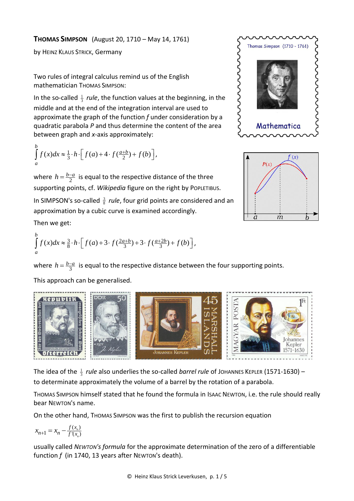by HEINZ KLAUS STRICK, Germany

Two rules of integral calculus remind us of the English mathematician THOMAS SIMPSON:

In the so-called  $\frac{1}{3}$  *rule*, the function values at the beginning, in the middle and at the end of the integration interval are used to approximate the graph of the function *f* under consideration by a quadratic parabola *P* and thus determine the content of the area between graph and *x*-axis approximately:

$$
\int_{a}^{b} f(x)dx \approx \frac{1}{3} \cdot h \cdot \left[ f(a) + 4 \cdot f(\frac{a+b}{2}) + f(b) \right],
$$

This approach can be generalised.

where  $h = \frac{b-a}{2}$  is equal to the respective distance of the three supporting points, cf. *Wikipedia* figure on the right by POPLETIBUS.

In SIMPSON's so-called  $\frac{3}{8}$  *rule*, four grid points are considered and an approximation by a cubic curve is examined accordingly.

Then we get:

Then we get:  
\n
$$
\int_{a}^{b} f(x) dx \approx \frac{3}{8} \cdot h \cdot \left[ f(a) + 3 \cdot f(\frac{2a+b}{3}) + 3 \cdot f(\frac{a+2b}{3}) + f(b) \right],
$$

where  $h = \frac{b-a}{3}$  is equal to the respective distance between the four supporting points.



The idea of the  $\frac{1}{3}$  *rule* also underlies the so-called *barrel rule* of JOHANNES KEPLER (1571-1630) – to determinate approximately the volume of a barrel by the rotation of a parabola.

THOMAS SIMPSON himself stated that he found the formula in ISAAC NEWTON, i.e. the rule should really bear NEWTON's name.

On the other hand, THOMAS SIMPSON was the first to publish the recursion equation

$$
x_{n+1} = x_n - \frac{f(x_n)}{f'(x_n)}
$$

usually called *NEWTON's formula* for the approximate determination of the zero of a differentiable function *f* (in 1740, 13 years after NEWTON's death).



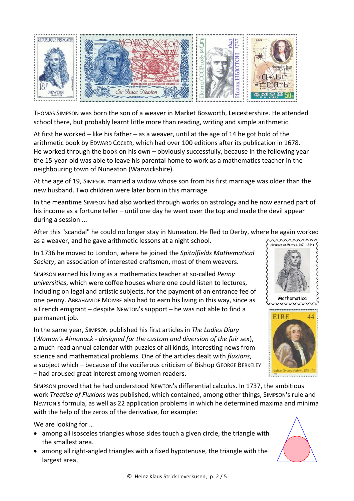

THOMAS SIMPSON was born the son of a weaver in Market Bosworth, Leicestershire. He attended school there, but probably learnt little more than reading, writing and simple arithmetic.

At first he worked – like his father – as a weaver, until at the age of 14 he got hold of the arithmetic book by EDWARD COCKER, which had over 100 editions after its publication in 1678. He worked through the book on his own – obviously successfully, because in the following year the 15-year-old was able to leave his parental home to work as a mathematics teacher in the neighbouring town of Nuneaton (Warwickshire).

At the age of 19, SIMPSON married a widow whose son from his first marriage was older than the new husband. Two children were later born in this marriage.

In the meantime SIMPSON had also worked through works on astrology and he now earned part of his income as a fortune teller – until one day he went over the top and made the devil appear during a session ...

After this "scandal" he could no longer stay in Nuneaton. He fled to Derby, where he again worked as a weaver, and he gave arithmetic lessons at a night school.

In 1736 he moved to London, where he joined the *Spitalfields Mathematical Society*, an association of interested craftsmen, most of them weavers.

SIMPSON earned his living as a mathematics teacher at so-called *Penny universities*, which were coffee houses where one could listen to lectures, including on legal and artistic subjects, for the payment of an entrance fee of one penny. ABRAHAM DE MOIVRE also had to earn his living in this way, since as a French emigrant – despite NEWTON's support – he was not able to find a permanent job.

In the same year, SIMPSON published his first articles in *The Ladies Diary* (*Woman's Almanack - designed for the custom and diversion of the fair sex*), a much-read annual calendar with puzzles of all kinds, interesting news from science and mathematical problems. One of the articles dealt with *fluxions*, a subject which – because of the vociferous criticism of Bishop GEORGE BERKELEY – had aroused great interest among women readers.

SIMPSON proved that he had understood NEWTON's differential calculus. In 1737, the ambitious work *Treatise of Fluxions* was published, which contained, among other things, SIMPSON's rule and NEWTON's formula, as well as 22 application problems in which he determined maxima and minima with the help of the zeros of the derivative, for example:

We are looking for …

- among all isosceles triangles whose sides touch a given circle, the triangle with the smallest area.
- among all right-angled triangles with a fixed hypotenuse, the triangle with the largest area,





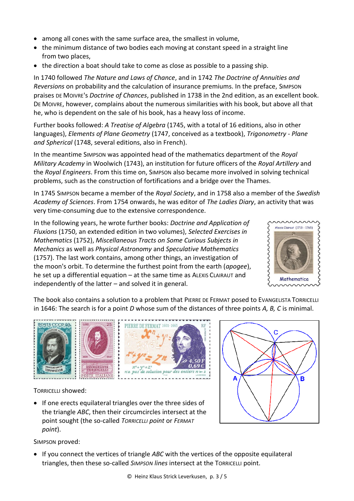- among all cones with the same surface area, the smallest in volume,
- the minimum distance of two bodies each moving at constant speed in a straight line from two places,
- the direction a boat should take to come as close as possible to a passing ship.

In 1740 followed *The Nature and Laws of Chance*, and in 1742 *The Doctrine of Annuities and Reversions* on probability and the calculation of insurance premiums. In the preface, SIMPSON praises DE MOIVRE's *Doctrine of Chances*, published in 1738 in the 2nd edition, as an excellent book. DE MOIVRE, however, complains about the numerous similarities with his book, but above all that he, who is dependent on the sale of his book, has a heavy loss of income.

Further books followed: *A Treatise of Algebra* (1745, with a total of 16 editions, also in other languages), *Elements of Plane Geometry* (1747, conceived as a textbook), *Trigonometry - Plane and Spherical* (1748, several editions, also in French).

In the meantime SIMPSON was appointed head of the mathematics department of the *Royal Military Academy* in Woolwich (1743), an institution for future officers of the *Royal Artillery* and the *Royal Engineers*. From this time on, SIMPSON also became more involved in solving technical problems, such as the construction of fortifications and a bridge over the Thames.

In 1745 SIMPSON became a member of the *Royal Society*, and in 1758 also a member of the *Swedish Academy of Sciences*. From 1754 onwards, he was editor of *The Ladies Diary*, an activity that was very time-consuming due to the extensive correspondence.

In the following years, he wrote further books: *Doctrine and Application of Fluxions* (1750, an extended edition in two volumes), *Selected Exercises in Mathematics* (1752), *Miscellaneous Tracts on Some Curious Subjects in Mechanics* as well as *Physical Astronomy* and *Speculative Mathematics* (1757). The last work contains, among other things, an investigation of the moon's orbit. To determine the furthest point from the earth (*apogee*), he set up a differential equation – at the same time as ALEXIS CLAIRAUT and independently of the latter – and solved it in general.



The book also contains a solution to a problem that PIERRE DE FERMAT posed to EVANGELISTA TORRICELLI in 1646: The search is for a point *D* whose sum of the distances of three points *A, B, C* is minimal.



TORRICELLI showed:

• If one erects equilateral triangles over the three sides of the triangle *ABC*, then their circumcircles intersect at the point sought (the so-called *TORRICELLI point* or *FERMAT point*).

SIMPSON proved:

• If you connect the vertices of triangle *ABC* with the vertices of the opposite equilateral triangles, then these so-called *SIMPSON lines* intersect at the TORRICELLI point.

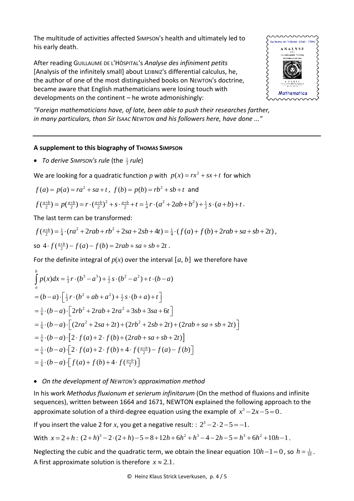The multitude of activities affected SIMPSON's health and ultimately led to his early death.

After reading GUILLAUME DE L'HÔSPITAL's *Analyse des infiniment petits*  [Analysis of the infinitely small] about LEIBNIZ's differential calculus, he, the author of one of the most distinguished books on NEWTON's doctrine, became aware that English mathematicians were losing touch with developments on the continent – he wrote admonishingly:



*"Foreign mathematicians have, of late, been able to push their researches farther, in many particulars, than Sir ISAAC NEWTON and his followers here, have done ..."*

## **A supplement to this biography of THOMAS SIMPSON**

• *To derive SIMPSON's rule* (the 1 3 *rule*)

We are looking for a quadratic function p with  $p(x) = rx^2 + sx + t$  for which

$$
f(a) = p(a) = ra^2 + sa + t
$$
,  $f(b) = p(b) = rb^2 + sb + t$  and

$$
f(a) = p(a) = ra^2 + sa + t, \ f(b) = p(b) = rb^2 + sb + t \text{ and}
$$

$$
f(\frac{a+b}{2}) = p(\frac{a+b}{2}) = r \cdot (\frac{a+b}{2})^2 + s \cdot \frac{a+b}{2} + t = \frac{1}{4}r \cdot (a^2 + 2ab + b^2) + \frac{1}{2}s \cdot (a+b) + t.
$$

$$
f\left(\frac{a+b}{2}\right) = p\left(\frac{a+b}{2}\right) = r \cdot \left(\frac{a+b}{2}\right)^2 + s \cdot \frac{a+b}{2} + t = \frac{1}{4}r \cdot \left(a^2 + 2ab + b^2\right) + \frac{1}{2}s \cdot \left(a+b\right) + t.
$$
  
The last term can be transformed:  

$$
f\left(\frac{a+b}{2}\right) = \frac{1}{4} \cdot \left(r a^2 + 2r ab + rb^2 + 2sa + 2sb + 4t\right) = \frac{1}{4} \cdot \left(f\left(a\right) + f\left(b\right) + 2r ab + sa + sb + 2t\right),
$$
  
so  $4 \cdot f\left(\frac{a+b}{2}\right) - f\left(a\right) - f\left(b\right) = 2r ab + sa + sb + 2t.$ 

For the definite integral of 
$$
p(x)
$$
 over the interval  $[a, b]$  we therefore have  
\n
$$
\int_{a}^{b} p(x)dx = \frac{1}{3}r \cdot (b^3 - a^3) + \frac{1}{2}s \cdot (b^2 - a^2) + t \cdot (b - a)
$$
\n
$$
= (b - a) \cdot \left[ \frac{1}{3}r \cdot (b^2 + ab + a^2) + \frac{1}{2}s \cdot (b + a) + t \right]
$$
\n
$$
= \frac{1}{6} \cdot (b - a) \cdot \left[ 2rb^2 + 2rab + 2ra^2 + 3sb + 3sa + 6t \right]
$$
\n
$$
= \frac{1}{6} \cdot (b - a) \cdot \left[ (2ra^2 + 2sa + 2t) + (2rb^2 + 2sb + 2t) + (2rab + sa + sb + 2t) \right]
$$
\n
$$
= \frac{1}{6} \cdot (b - a) \cdot \left[ 2 \cdot f(a) + 2 \cdot f(b) + (2rab + sa + sb + 2t) \right]
$$
\n
$$
= \frac{1}{6} \cdot (b - a) \cdot \left[ 2 \cdot f(a) + 2 \cdot f(b) + 4 \cdot f(\frac{a+b}{2}) - f(a) - f(b) \right]
$$
\n
$$
= \frac{1}{6} \cdot (b - a) \cdot \left[ f(a) + f(b) + 4 \cdot f(\frac{a+b}{2}) \right]
$$

## • *On the development of NEWTON's approximation method*

In his work *Methodus fluxionum et serierum infinitarum* (On the method of fluxions and infinite sequences), written between 1664 and 1671, NEWTON explained the following approach to the approximate solution of a third-degree equation using the example of  $x^3 - 2x - 5 = 0$ .

If you insert the value 2 for *x*, you get a negative result: :  $2^3 - 2 \cdot 2 - 5 = -1$ .

With  $x = 2 + h$ : value 2 for x, you get a negative result:  $2^3 - 2 \cdot 2 - 5 = -1$ .<br>  $(2+h)^3 - 2 \cdot (2+h) - 5 = 8 + 12h + 6h^2 + h^3 - 4 - 2h - 5 = h^3 + 6h^2 + 10h - 1$ .

Neglecting the cubic and the quadratic term, we obtain the linear equation  $10h-1=0$ , so  $h=\frac{1}{10}$ . A first approximate solution is therefore  $x \approx 2.1$ .